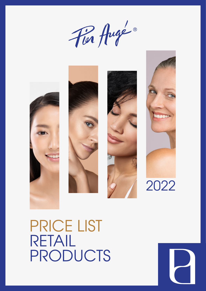Für Augé®









#### PRICE LIST RETAIL PRODUCTS

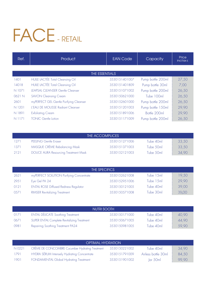# FACE- RETAIL

| Ref.   | <b>Product</b>                          | <b>EAN Code</b> | Capacity          | Price<br>incl.tax $\epsilon$ |
|--------|-----------------------------------------|-----------------|-------------------|------------------------------|
|        |                                         |                 |                   |                              |
|        | THE ESSENTIALS                          |                 |                   |                              |
| 1401   | HUILE LACTÉE Total Cleansing Oil        | 3530151401007   | Pump bottle 200ml | 27,50                        |
| 14018  | HUILE LACTÉE Total Cleansing Oil        | 3530151401809   | Pump bottle 30ml  | 7,00                         |
| N 1071 | <b>LEAPSAL CLEANSER Gentle Cleanser</b> | 3530151071002   | Pump bottle 200ml | 26,50                        |
| 0621 N | <b>SAVON Cleansing Cream</b>            | 3530150621000   | Tube 100ml        | 26,50                        |
| 2601   | myPERFECT GEL Gentle Purifying Cleanser | 3530152601000   | Pump bottle 200ml | 26,50                        |
| N 1201 | L'EAU DE MOUSSE Radiant Cleanser        | 3530151201003   | Pump bottle 150ml | 29,90                        |
| N 1891 | <b>Exfoliating Cream</b>                | 3530151891006   | Bottle 200ml      | 29,90                        |
| N 1171 | <b>TONIC Gentle Lotion</b>              | 3530151171009   | Pump bottle 200ml | 26,50                        |

| THE ACCOMPLICES |                                             |               |           |       |  |
|-----------------|---------------------------------------------|---------------|-----------|-------|--|
| 1271            | PEELING Gentle Eraser                       | 3530151271006 | Tube 40ml | 33,50 |  |
| 1371            | MASQUE CRÈME Rebalancing Mask               | 3530151371003 | Tube 50ml | 33.50 |  |
| 2121            | <b>DOUCE AURA Resourcing Treatment Mask</b> | 3530152121003 | Tube 50ml | 34,90 |  |

| THE SPECIFICS |                                              |               |           |       |  |
|---------------|----------------------------------------------|---------------|-----------|-------|--|
| 2621          | myPERFECT SOLUTION Purifying Concentrate     | 3530152621008 | Tube 15ml | 19.50 |  |
| 2951          | Eye Gel PA 24                                | 3530152951006 | Tube 15ml | 29,90 |  |
| 0121          | <b>ENTAL ROSE Diffused Redness Regulator</b> | 3530150121005 | Tube 40ml | 39,00 |  |
| 0571          | <b>RIMSER Revitalizing Treatment</b>         | 3530150571008 | Tube 30ml | 39,00 |  |

| NUTRI SOOTH |                                             |               |           |       |
|-------------|---------------------------------------------|---------------|-----------|-------|
| (0171)      | <b>ENTAL DÉLICATE Soothing Treatment</b>    | 3530150171000 | Tube 40ml | 40,90 |
| 0671        | SUPER ENTAL Complete Revitalizing Treatment | 3530150671005 | Tube 40ml | 44.90 |
| 0981        | Repairing Soothing Treatment PA24           | 3530150981005 | Tube 40ml | 59,90 |

| <b>OPTIMAL HYDRATION</b> |                                                    |               |                     |       |  |
|--------------------------|----------------------------------------------------|---------------|---------------------|-------|--|
| N 0221                   | CRÈME DE CONCOMBRE Cucumber Hydrating Treatment    | 3530150221002 | Tube 40ml           | 34.90 |  |
| 1791                     | <b>HYDRA SÉRUM Intensely Hydrating Concentrate</b> | 3530151791009 | Airless bottle 30ml | 84,50 |  |
| 1901                     | FONDAMENTAL Global Hydrating Treatment             | 3530151901002 | lar 50ml            | 99,90 |  |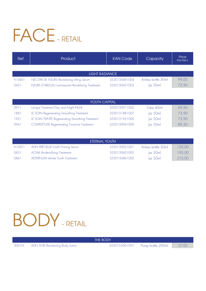# FACE - RETAIL

| Ref.                  | <b>Product</b>                                                                                    | <b>EAN Code</b>                | Capacity                                      | Price<br>incl.tax $\epsilon$ |  |  |
|-----------------------|---------------------------------------------------------------------------------------------------|--------------------------------|-----------------------------------------------|------------------------------|--|--|
|                       |                                                                                                   |                                |                                               |                              |  |  |
| <b>LIGHT RADIANCE</b> |                                                                                                   |                                |                                               |                              |  |  |
| N 0441<br>0451        | NECTAR DE FLEURS Revitalizing Lifting Serum<br>FLEURS D'ABSOLU Luminescent Revitalizing Treatment | 3530150441004<br>3530150451003 | Airless bottle 30ml<br>$\vert$ ar 50m $\vert$ | 99,00<br>72,90               |  |  |

| <b>YOUTH CAPITAL</b> |                                                     |               |                        |       |  |
|----------------------|-----------------------------------------------------|---------------|------------------------|-------|--|
| 0911                 | Unique Treatment Day and Night PA24                 | 3530150911002 | Tube 40ml              | 69,90 |  |
| 1881                 | LE SOIN Regenerating Smoothing Treatment            | 3530151881007 | lar 50ml               | 73,90 |  |
| 1921                 | LE SOIN TEINTÉ Regenerating Smoothing Treatment     | 3530151921000 | $\vert$ ar 50m $\vert$ | 73,90 |  |
| 0941                 | <b>COMPLÉTUDE Regenerating Tri-active Treatment</b> | 3530150941009 | $\vert$ ar 50m $\vert$ | 89,50 |  |

| ETERNAL YOUTH |                                          |               |                        |        |  |
|---------------|------------------------------------------|---------------|------------------------|--------|--|
| N 0921        | ADN PRÉCIEUX Youth Firming Serum         | 3530150921001 | Airless bottle 30ml    | 129,00 |  |
| 0431          | <b>ACMA Re-densifying Treatment</b>      | 3530150431005 | lar 50ml               | 195,00 |  |
| 0461          | <b>AETERNUM Infinite Youth Treatment</b> | 3530150461002 | $\vert$ ar 50m $\vert$ | 210,00 |  |

### BODY- RETAIL

THE BODY

3061N ADN SOIE Revitalizing Body Lotion 3530153061001 Pump bottle 200ml 57,00